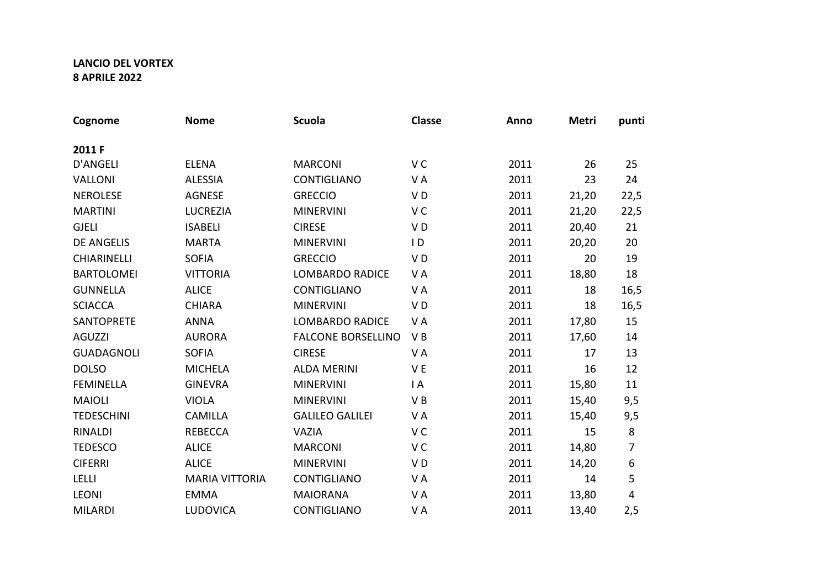## **LANCIO DEL VORTEX 8 APRILE 2022**

| Cognome            | <b>Nome</b>           | <b>Scuola</b>             | <b>Classe</b>  | Anno | <b>Metri</b> | punti |
|--------------------|-----------------------|---------------------------|----------------|------|--------------|-------|
| 2011 F             |                       |                           |                |      |              |       |
| <b>D'ANGELI</b>    | <b>ELENA</b>          | <b>MARCONI</b>            | V <sub>C</sub> | 2011 | 26           | 25    |
| <b>VALLONI</b>     | <b>ALESSIA</b>        | <b>CONTIGLIANO</b>        | VA             | 2011 | 23           | 24    |
| <b>NEROLESE</b>    | <b>AGNESE</b>         | <b>GRECCIO</b>            | V <sub>D</sub> | 2011 | 21,20        | 22,5  |
| <b>MARTINI</b>     | <b>LUCREZIA</b>       | <b>MINERVINI</b>          | V <sub>C</sub> | 2011 | 21,20        | 22,5  |
| <b>GJELI</b>       | <b>ISABELI</b>        | <b>CIRESE</b>             | VD             | 2011 | 20,40        | 21    |
| <b>DE ANGELIS</b>  | <b>MARTA</b>          | <b>MINERVINI</b>          | ID.            | 2011 | 20,20        | 20    |
| <b>CHIARINELLI</b> | <b>SOFIA</b>          | <b>GRECCIO</b>            | V <sub>D</sub> | 2011 | 20           | 19    |
| <b>BARTOLOMEI</b>  | <b>VITTORIA</b>       | <b>LOMBARDO RADICE</b>    | VA             | 2011 | 18,80        | 18    |
| <b>GUNNELLA</b>    | <b>ALICE</b>          | <b>CONTIGLIANO</b>        | VA             | 2011 | 18           | 16,5  |
| <b>SCIACCA</b>     | <b>CHIARA</b>         | <b>MINERVINI</b>          | VD             | 2011 | 18           | 16,5  |
| <b>SANTOPRETE</b>  | <b>ANNA</b>           | <b>LOMBARDO RADICE</b>    | VA             | 2011 | 17,80        | 15    |
| <b>AGUZZI</b>      | <b>AURORA</b>         | <b>FALCONE BORSELLINO</b> | V <sub>B</sub> | 2011 | 17,60        | 14    |
| <b>GUADAGNOLI</b>  | <b>SOFIA</b>          | <b>CIRESE</b>             | VA             | 2011 | 17           | 13    |
| <b>DOLSO</b>       | <b>MICHELA</b>        | <b>ALDA MERINI</b>        | V <sub>E</sub> | 2011 | 16           | 12    |
| <b>FEMINELLA</b>   | <b>GINEVRA</b>        | <b>MINERVINI</b>          | $\mathsf{I}$ A | 2011 | 15,80        | 11    |
| <b>MAIOLI</b>      | <b>VIOLA</b>          | <b>MINERVINI</b>          | VB             | 2011 | 15,40        | 9,5   |
| <b>TEDESCHINI</b>  | <b>CAMILLA</b>        | <b>GALILEO GALILEI</b>    | VA             | 2011 | 15,40        | 9,5   |
| <b>RINALDI</b>     | <b>REBECCA</b>        | <b>VAZIA</b>              | V <sub>C</sub> | 2011 | 15           | 8     |
| <b>TEDESCO</b>     | <b>ALICE</b>          | <b>MARCONI</b>            | V <sub>C</sub> | 2011 | 14,80        | 7     |
| <b>CIFERRI</b>     | <b>ALICE</b>          | <b>MINERVINI</b>          | V <sub>D</sub> | 2011 | 14,20        | 6     |
| LELLI              | <b>MARIA VITTORIA</b> | <b>CONTIGLIANO</b>        | VA             | 2011 | 14           | 5     |
| <b>LEONI</b>       | <b>EMMA</b>           | <b>MAIORANA</b>           | VA             | 2011 | 13,80        | 4     |
| <b>MILARDI</b>     | <b>LUDOVICA</b>       | <b>CONTIGLIANO</b>        | VA             | 2011 | 13,40        | 2,5   |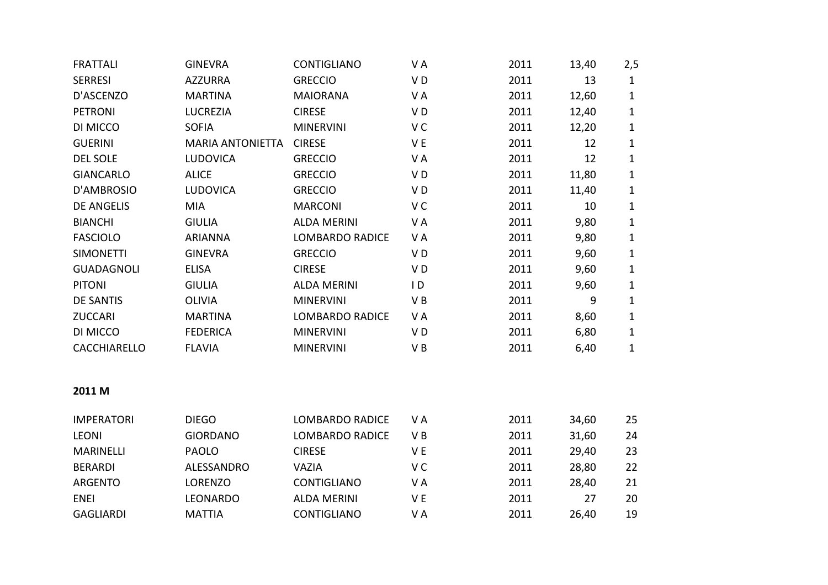| <b>FRATTALI</b>   | <b>GINEVRA</b>          | CONTIGLIANO            | VA             | 2011 | 13,40 | 2,5          |
|-------------------|-------------------------|------------------------|----------------|------|-------|--------------|
| <b>SERRESI</b>    | <b>AZZURRA</b>          | <b>GRECCIO</b>         | V <sub>D</sub> | 2011 | 13    | $\mathbf{1}$ |
| D'ASCENZO         | <b>MARTINA</b>          | <b>MAIORANA</b>        | VA             | 2011 | 12,60 | $\mathbf{1}$ |
| <b>PETRONI</b>    | <b>LUCREZIA</b>         | <b>CIRESE</b>          | V <sub>D</sub> | 2011 | 12,40 | $\mathbf{1}$ |
| DI MICCO          | <b>SOFIA</b>            | <b>MINERVINI</b>       | V <sub>C</sub> | 2011 | 12,20 | $\mathbf{1}$ |
| <b>GUERINI</b>    | <b>MARIA ANTONIETTA</b> | <b>CIRESE</b>          | V <sub>E</sub> | 2011 | 12    | $\mathbf{1}$ |
| <b>DEL SOLE</b>   | LUDOVICA                | <b>GRECCIO</b>         | VA             | 2011 | 12    | $\mathbf 1$  |
| <b>GIANCARLO</b>  | <b>ALICE</b>            | <b>GRECCIO</b>         | V <sub>D</sub> | 2011 | 11,80 | $\mathbf{1}$ |
| D'AMBROSIO        | <b>LUDOVICA</b>         | <b>GRECCIO</b>         | VD             | 2011 | 11,40 | $\mathbf{1}$ |
| <b>DE ANGELIS</b> | <b>MIA</b>              | <b>MARCONI</b>         | V <sub>C</sub> | 2011 | 10    | 1            |
| <b>BIANCHI</b>    | <b>GIULIA</b>           | <b>ALDA MERINI</b>     | VA             | 2011 | 9,80  | $\mathbf 1$  |
| <b>FASCIOLO</b>   | <b>ARIANNA</b>          | <b>LOMBARDO RADICE</b> | VA             | 2011 | 9,80  | 1            |
| <b>SIMONETTI</b>  | <b>GINEVRA</b>          | <b>GRECCIO</b>         | V <sub>D</sub> | 2011 | 9,60  | $\mathbf{1}$ |
| <b>GUADAGNOLI</b> | <b>ELISA</b>            | <b>CIRESE</b>          | V <sub>D</sub> | 2011 | 9,60  | 1            |
| <b>PITONI</b>     | <b>GIULIA</b>           | <b>ALDA MERINI</b>     | $\overline{D}$ | 2011 | 9,60  | $\mathbf{1}$ |
| <b>DE SANTIS</b>  | <b>OLIVIA</b>           | <b>MINERVINI</b>       | VB             | 2011 | 9     | $\mathbf{1}$ |
| <b>ZUCCARI</b>    | <b>MARTINA</b>          | <b>LOMBARDO RADICE</b> | VA             | 2011 | 8,60  | $\mathbf{1}$ |
| DI MICCO          | <b>FEDERICA</b>         | <b>MINERVINI</b>       | VD             | 2011 | 6,80  | $\mathbf{1}$ |
| CACCHIARELLO      | <b>FLAVIA</b>           | <b>MINERVINI</b>       | VB             | 2011 | 6,40  | $\mathbf{1}$ |
| 2011 M            |                         |                        |                |      |       |              |
| <b>IMPERATORI</b> | <b>DIEGO</b>            | <b>LOMBARDO RADICE</b> | VA             | 2011 | 34,60 | 25           |
| <b>LEONI</b>      | <b>GIORDANO</b>         | <b>LOMBARDO RADICE</b> | VB             | 2011 | 31,60 | 24           |
| <b>MARINELLI</b>  | <b>PAOLO</b>            | <b>CIRESE</b>          | V <sub>E</sub> | 2011 | 29,40 | 23           |
| <b>BERARDI</b>    | ALESSANDRO              | <b>VAZIA</b>           | V <sub>C</sub> | 2011 | 28,80 | 22           |
| <b>ARGENTO</b>    | <b>LORENZO</b>          | <b>CONTIGLIANO</b>     | VA             | 2011 | 28,40 | 21           |
| <b>ENEI</b>       | LEONARDO                | <b>ALDA MERINI</b>     | V <sub>E</sub> | 2011 | 27    | 20           |
| <b>GAGLIARDI</b>  | <b>MATTIA</b>           | <b>CONTIGLIANO</b>     | VA             | 2011 | 26,40 | 19           |
|                   |                         |                        |                |      |       |              |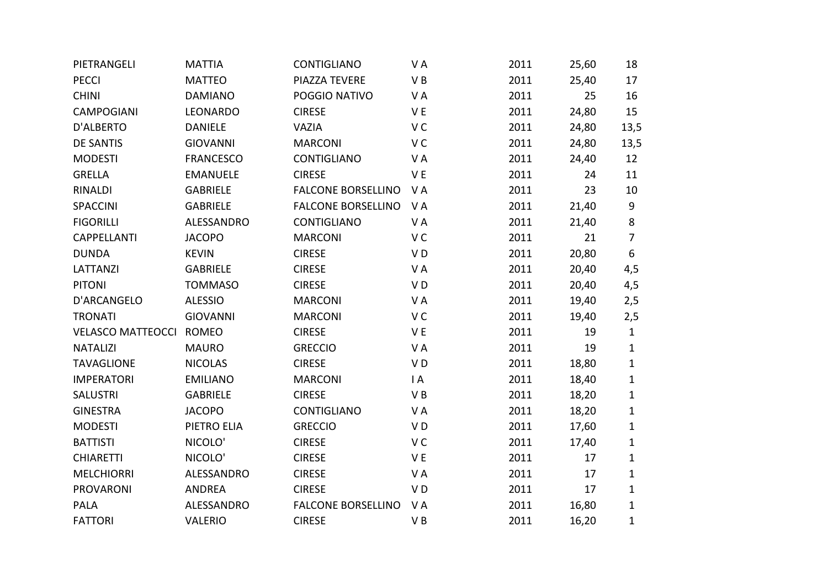| PIETRANGELI              | <b>MATTIA</b>    | <b>CONTIGLIANO</b>        | VA             | 2011 | 25,60 | 18             |
|--------------------------|------------------|---------------------------|----------------|------|-------|----------------|
| <b>PECCI</b>             | <b>MATTEO</b>    | PIAZZA TEVERE             | V B            | 2011 | 25,40 | 17             |
| <b>CHINI</b>             | <b>DAMIANO</b>   | POGGIO NATIVO             | VA             | 2011 | 25    | 16             |
| <b>CAMPOGIANI</b>        | LEONARDO         | <b>CIRESE</b>             | V E            | 2011 | 24,80 | 15             |
| D'ALBERTO                | <b>DANIELE</b>   | VAZIA                     | V <sub>C</sub> | 2011 | 24,80 | 13,5           |
| <b>DE SANTIS</b>         | <b>GIOVANNI</b>  | <b>MARCONI</b>            | V <sub>C</sub> | 2011 | 24,80 | 13,5           |
| <b>MODESTI</b>           | <b>FRANCESCO</b> | CONTIGLIANO               | VA             | 2011 | 24,40 | 12             |
| <b>GRELLA</b>            | <b>EMANUELE</b>  | <b>CIRESE</b>             | V E            | 2011 | 24    | 11             |
| <b>RINALDI</b>           | <b>GABRIELE</b>  | <b>FALCONE BORSELLINO</b> | VA             | 2011 | 23    | 10             |
| SPACCINI                 | <b>GABRIELE</b>  | <b>FALCONE BORSELLINO</b> | VA             | 2011 | 21,40 | 9              |
| <b>FIGORILLI</b>         | ALESSANDRO       | <b>CONTIGLIANO</b>        | VA             | 2011 | 21,40 | 8              |
| CAPPELLANTI              | <b>JACOPO</b>    | <b>MARCONI</b>            | V <sub>C</sub> | 2011 | 21    | $\overline{7}$ |
| <b>DUNDA</b>             | <b>KEVIN</b>     | <b>CIRESE</b>             | V <sub>D</sub> | 2011 | 20,80 | 6              |
| LATTANZI                 | <b>GABRIELE</b>  | <b>CIRESE</b>             | VA             | 2011 | 20,40 | 4,5            |
| <b>PITONI</b>            | <b>TOMMASO</b>   | <b>CIRESE</b>             | V <sub>D</sub> | 2011 | 20,40 | 4,5            |
| D'ARCANGELO              | <b>ALESSIO</b>   | <b>MARCONI</b>            | VA             | 2011 | 19,40 | 2,5            |
| <b>TRONATI</b>           | <b>GIOVANNI</b>  | <b>MARCONI</b>            | VC             | 2011 | 19,40 | 2,5            |
| <b>VELASCO MATTEOCCI</b> | <b>ROMEO</b>     | <b>CIRESE</b>             | VE             | 2011 | 19    | $\mathbf{1}$   |
| <b>NATALIZI</b>          | <b>MAURO</b>     | <b>GRECCIO</b>            | VA             | 2011 | 19    | $\mathbf{1}$   |
| <b>TAVAGLIONE</b>        | <b>NICOLAS</b>   | <b>CIRESE</b>             | VD             | 2011 | 18,80 | $\mathbf{1}$   |
| <b>IMPERATORI</b>        | <b>EMILIANO</b>  | <b>MARCONI</b>            | I A            | 2011 | 18,40 | $\mathbf{1}$   |
| <b>SALUSTRI</b>          | <b>GABRIELE</b>  | <b>CIRESE</b>             | VB             | 2011 | 18,20 | $\mathbf{1}$   |
| <b>GINESTRA</b>          | <b>JACOPO</b>    | <b>CONTIGLIANO</b>        | VA             | 2011 | 18,20 | $\mathbf{1}$   |
| <b>MODESTI</b>           | PIETRO ELIA      | <b>GRECCIO</b>            | VD             | 2011 | 17,60 | $\mathbf{1}$   |
| <b>BATTISTI</b>          | NICOLO'          | <b>CIRESE</b>             | V <sub>C</sub> | 2011 | 17,40 | $\mathbf{1}$   |
| <b>CHIARETTI</b>         | NICOLO'          | <b>CIRESE</b>             | VE             | 2011 | 17    | $\mathbf{1}$   |
| <b>MELCHIORRI</b>        | ALESSANDRO       | <b>CIRESE</b>             | VA             | 2011 | 17    | $\mathbf{1}$   |
| <b>PROVARONI</b>         | <b>ANDREA</b>    | <b>CIRESE</b>             | VD             | 2011 | 17    | $\mathbf{1}$   |
| PALA                     | ALESSANDRO       | <b>FALCONE BORSELLINO</b> | VA             | 2011 | 16,80 | $\mathbf{1}$   |
| <b>FATTORI</b>           | <b>VALERIO</b>   | <b>CIRESE</b>             | VB             | 2011 | 16,20 | 1              |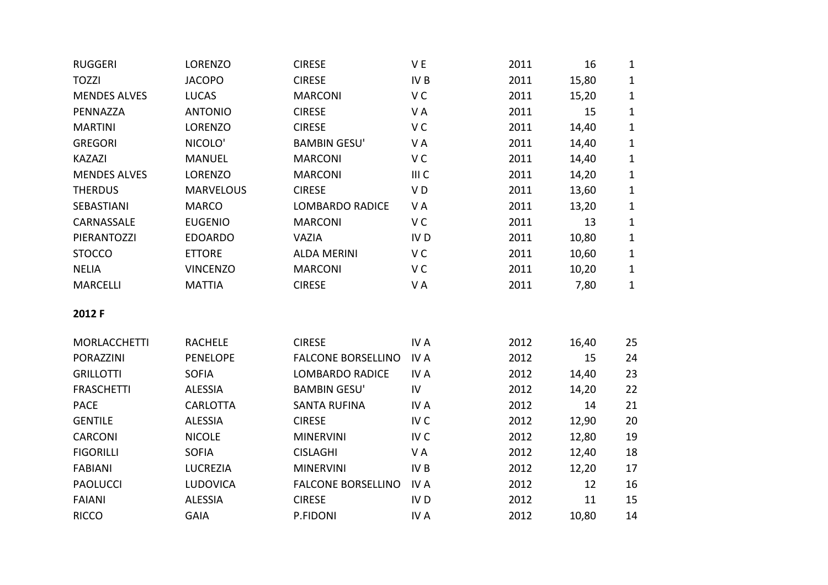| <b>RUGGERI</b>      | <b>LORENZO</b>   | <b>CIRESE</b>             | V E             | 2011 | 16    | 1            |
|---------------------|------------------|---------------------------|-----------------|------|-------|--------------|
| <b>TOZZI</b>        | <b>JACOPO</b>    | <b>CIRESE</b>             | IV <sub>B</sub> | 2011 | 15,80 | $\mathbf{1}$ |
| <b>MENDES ALVES</b> | <b>LUCAS</b>     | <b>MARCONI</b>            | V <sub>C</sub>  | 2011 | 15,20 | $\mathbf{1}$ |
| PENNAZZA            | <b>ANTONIO</b>   | <b>CIRESE</b>             | VA              | 2011 | 15    | $\mathbf{1}$ |
| <b>MARTINI</b>      | LORENZO          | <b>CIRESE</b>             | V <sub>C</sub>  | 2011 | 14,40 | $\mathbf{1}$ |
| <b>GREGORI</b>      | NICOLO'          | <b>BAMBIN GESU'</b>       | VA              | 2011 | 14,40 | $\mathbf{1}$ |
| <b>KAZAZI</b>       | <b>MANUEL</b>    | <b>MARCONI</b>            | V <sub>C</sub>  | 2011 | 14,40 | $\mathbf{1}$ |
| <b>MENDES ALVES</b> | <b>LORENZO</b>   | <b>MARCONI</b>            | III C           | 2011 | 14,20 | $\mathbf{1}$ |
| <b>THERDUS</b>      | <b>MARVELOUS</b> | <b>CIRESE</b>             | VD              | 2011 | 13,60 | $\mathbf{1}$ |
| SEBASTIANI          | <b>MARCO</b>     | <b>LOMBARDO RADICE</b>    | VA              | 2011 | 13,20 | $\mathbf{1}$ |
| CARNASSALE          | <b>EUGENIO</b>   | <b>MARCONI</b>            | V <sub>C</sub>  | 2011 | 13    | $\mathbf 1$  |
| PIERANTOZZI         | <b>EDOARDO</b>   | <b>VAZIA</b>              | IV <sub>D</sub> | 2011 | 10,80 | $\mathbf{1}$ |
| <b>STOCCO</b>       | <b>ETTORE</b>    | <b>ALDA MERINI</b>        | V <sub>C</sub>  | 2011 | 10,60 | $\mathbf{1}$ |
| <b>NELIA</b>        | <b>VINCENZO</b>  | <b>MARCONI</b>            | V <sub>C</sub>  | 2011 | 10,20 | $\mathbf{1}$ |
| <b>MARCELLI</b>     | <b>MATTIA</b>    | <b>CIRESE</b>             | VA              | 2011 | 7,80  | $\mathbf{1}$ |
| 2012 F              |                  |                           |                 |      |       |              |
| <b>MORLACCHETTI</b> | <b>RACHELE</b>   | <b>CIRESE</b>             | IV A            | 2012 | 16,40 | 25           |
| <b>PORAZZINI</b>    | <b>PENELOPE</b>  | <b>FALCONE BORSELLINO</b> | IV A            | 2012 | 15    | 24           |
| <b>GRILLOTTI</b>    | <b>SOFIA</b>     | <b>LOMBARDO RADICE</b>    | IV A            | 2012 | 14,40 | 23           |
| <b>FRASCHETTI</b>   | <b>ALESSIA</b>   | <b>BAMBIN GESU'</b>       | $\mathsf{IV}$   | 2012 | 14,20 | 22           |
| <b>PACE</b>         | <b>CARLOTTA</b>  | <b>SANTA RUFINA</b>       | IV A            | 2012 | 14    | 21           |
| <b>GENTILE</b>      | <b>ALESSIA</b>   | <b>CIRESE</b>             | IV <sub>C</sub> | 2012 | 12,90 | 20           |
| CARCONI             | <b>NICOLE</b>    | <b>MINERVINI</b>          | IV <sub>C</sub> | 2012 | 12,80 | 19           |
| <b>FIGORILLI</b>    | <b>SOFIA</b>     | <b>CISLAGHI</b>           | VA              | 2012 | 12,40 | 18           |
| <b>FABIANI</b>      | <b>LUCREZIA</b>  | <b>MINERVINI</b>          | IV <sub>B</sub> | 2012 | 12,20 | 17           |
| <b>PAOLUCCI</b>     | <b>LUDOVICA</b>  | <b>FALCONE BORSELLINO</b> | IV A            | 2012 | 12    | 16           |
| <b>FAIANI</b>       | <b>ALESSIA</b>   | <b>CIRESE</b>             | IV <sub>D</sub> | 2012 | 11    | 15           |
| <b>RICCO</b>        | <b>GAIA</b>      | P.FIDONI                  | <b>IVA</b>      | 2012 | 10,80 | 14           |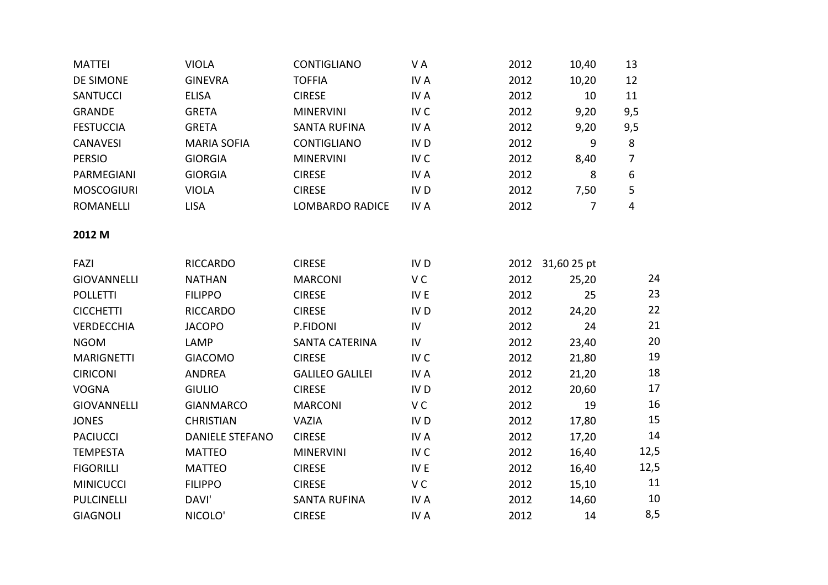| <b>VIOLA</b>           | CONTIGLIANO                    | VA                             | 2012         | 10,40                | 13                                       |
|------------------------|--------------------------------|--------------------------------|--------------|----------------------|------------------------------------------|
|                        |                                |                                |              |                      |                                          |
|                        |                                |                                |              |                      | 12                                       |
|                        |                                |                                |              |                      | 11                                       |
| <b>GRETA</b>           | <b>MINERVINI</b>               | IV <sub>C</sub>                | 2012         | 9,20                 | 9,5                                      |
| <b>GRETA</b>           | <b>SANTA RUFINA</b>            | IV A                           | 2012         | 9,20                 | 9,5                                      |
| <b>MARIA SOFIA</b>     | <b>CONTIGLIANO</b>             | IV <sub>D</sub>                | 2012         | 9                    | 8                                        |
| <b>GIORGIA</b>         | <b>MINERVINI</b>               | IV <sub>C</sub>                | 2012         | 8,40                 | $\overline{7}$                           |
| <b>GIORGIA</b>         | <b>CIRESE</b>                  | IV A                           | 2012         | 8                    | 6                                        |
| <b>VIOLA</b>           | <b>CIRESE</b>                  | IV <sub>D</sub>                | 2012         | 7,50                 | 5                                        |
| <b>LISA</b>            | <b>LOMBARDO RADICE</b>         | IV A                           | 2012         | $\overline{7}$       | $\overline{4}$                           |
|                        |                                |                                |              |                      |                                          |
| <b>RICCARDO</b>        | <b>CIRESE</b>                  | IV <sub>D</sub>                |              |                      |                                          |
| <b>NATHAN</b>          | <b>MARCONI</b>                 | V <sub>C</sub>                 | 2012         | 25,20                | 24                                       |
| <b>FILIPPO</b>         | <b>CIRESE</b>                  | IV E                           | 2012         | 25                   | 23                                       |
| <b>RICCARDO</b>        | <b>CIRESE</b>                  | IV <sub>D</sub>                | 2012         | 24,20                | 22                                       |
| <b>JACOPO</b>          | P.FIDONI                       | IV                             | 2012         | 24                   | 21                                       |
| LAMP                   | <b>SANTA CATERINA</b>          | IV                             | 2012         | 23,40                | 20                                       |
| <b>GIACOMO</b>         | <b>CIRESE</b>                  | IV <sub>C</sub>                | 2012         | 21,80                | 19                                       |
| <b>ANDREA</b>          | <b>GALILEO GALILEI</b>         | IV A                           | 2012         | 21,20                | 18                                       |
| <b>GIULIO</b>          | <b>CIRESE</b>                  | IV <sub>D</sub>                | 2012         | 20,60                | 17                                       |
| <b>GIANMARCO</b>       | <b>MARCONI</b>                 | V <sub>C</sub>                 | 2012         | 19                   | 16                                       |
| <b>CHRISTIAN</b>       | <b>VAZIA</b>                   | IV <sub>D</sub>                | 2012         | 17,80                | 15                                       |
| <b>DANIELE STEFANO</b> | <b>CIRESE</b>                  | IV A                           | 2012         | 17,20                | 14                                       |
| <b>MATTEO</b>          | <b>MINERVINI</b>               | IV <sub>C</sub>                | 2012         | 16,40                | 12,5                                     |
| <b>MATTEO</b>          | <b>CIRESE</b>                  | IV E                           | 2012         | 16,40                | 12,5                                     |
| <b>FILIPPO</b>         | <b>CIRESE</b>                  | V <sub>C</sub>                 |              |                      | 11                                       |
| DAVI'                  | <b>SANTA RUFINA</b>            | IV A                           | 2012         | 14,60                | 10                                       |
| NICOLO'                | <b>CIRESE</b>                  | IV A                           | 2012         | 14                   | 8,5                                      |
|                        | <b>GINEVRA</b><br><b>ELISA</b> | <b>TOFFIA</b><br><b>CIRESE</b> | IV A<br>IV A | 2012<br>2012<br>2012 | 10,20<br>10<br>2012 31,60 25 pt<br>15,10 |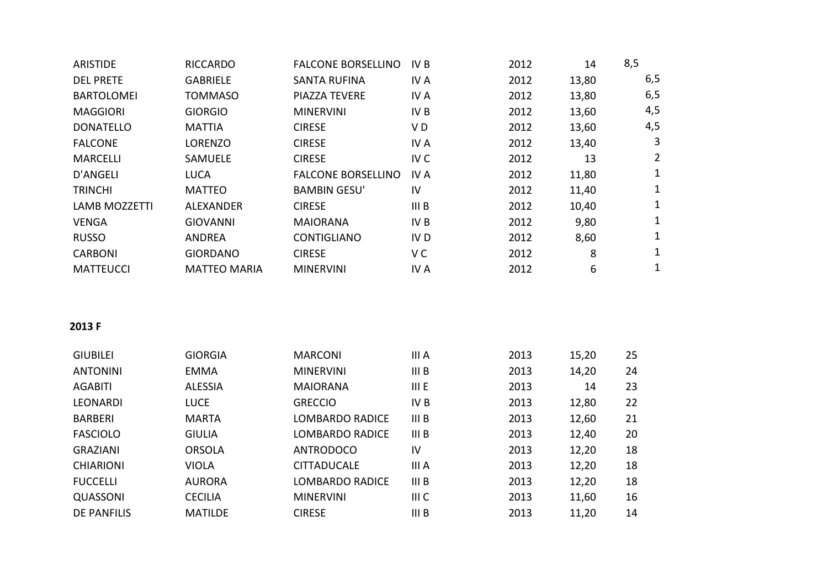| <b>ARISTIDE</b>      | <b>RICCARDO</b>     | <b>FALCONE BORSELLINO</b> | IV B  | 2012 | 14    | 8,5            |
|----------------------|---------------------|---------------------------|-------|------|-------|----------------|
| <b>DEL PRETE</b>     | <b>GABRIELE</b>     | <b>SANTA RUFINA</b>       | IV A  | 2012 | 13,80 | 6,5            |
| <b>BARTOLOMEI</b>    | TOMMASO             | <b>PIAZZA TEVERE</b>      | IV A  | 2012 | 13,80 | 6,5            |
| <b>MAGGIORI</b>      | <b>GIORGIO</b>      | <b>MINERVINI</b>          | IV B  | 2012 | 13,60 | 4,5            |
| <b>DONATELLO</b>     | <b>MATTIA</b>       | <b>CIRESE</b>             | V D   | 2012 | 13,60 | 4,5            |
| <b>FALCONE</b>       | <b>LORENZO</b>      | <b>CIRESE</b>             | IV A  | 2012 | 13,40 | 3              |
| <b>MARCELLI</b>      | <b>SAMUELE</b>      | <b>CIRESE</b>             | IV C  | 2012 | 13    | $\overline{2}$ |
| <b>D'ANGELI</b>      | <b>LUCA</b>         | <b>FALCONE BORSELLINO</b> | IV A  | 2012 | 11,80 | 1              |
| <b>TRINCHI</b>       | <b>MATTEO</b>       | <b>BAMBIN GESU'</b>       | IV    | 2012 | 11,40 | 1              |
| <b>LAMB MOZZETTI</b> | <b>ALEXANDER</b>    | <b>CIRESE</b>             | III B | 2012 | 10,40 | 1              |
| <b>VENGA</b>         | <b>GIOVANNI</b>     | <b>MAIORANA</b>           | IV B  | 2012 | 9,80  | 1              |
| <b>RUSSO</b>         | <b>ANDREA</b>       | <b>CONTIGLIANO</b>        | IV D  | 2012 | 8,60  | 1              |
| <b>CARBONI</b>       | <b>GIORDANO</b>     | <b>CIRESE</b>             | V C   | 2012 | 8     | 1              |
| <b>MATTEUCCI</b>     | <b>MATTEO MARIA</b> | <b>MINERVINI</b>          | IV A  | 2012 | 6     | 1              |

## **2013 F**

| <b>GIUBILEI</b>    | <b>GIORGIA</b> | <b>MARCONI</b>         | III A            | 2013 | 15,20 | 25 |
|--------------------|----------------|------------------------|------------------|------|-------|----|
| <b>ANTONINI</b>    | <b>EMMA</b>    | <b>MINERVINI</b>       | III B            | 2013 | 14,20 | 24 |
| AGABITI            | <b>ALESSIA</b> | <b>MAIORANA</b>        | III E            | 2013 | 14    | 23 |
| <b>LEONARDI</b>    | <b>LUCE</b>    | <b>GRECCIO</b>         | IV <sub>B</sub>  | 2013 | 12,80 | 22 |
| <b>BARBERI</b>     | <b>MARTA</b>   | LOMBARDO RADICE        | III B            | 2013 | 12,60 | 21 |
| <b>FASCIOLO</b>    | GIULIA         | LOMBARDO RADICE        | III B            | 2013 | 12,40 | 20 |
| <b>GRAZIANI</b>    | <b>ORSOLA</b>  | <b>ANTRODOCO</b>       | IV               | 2013 | 12,20 | 18 |
| <b>CHIARIONI</b>   | <b>VIOLA</b>   | <b>CITTADUCALE</b>     | III A            | 2013 | 12,20 | 18 |
| <b>FUCCELLI</b>    | <b>AURORA</b>  | <b>LOMBARDO RADICE</b> | III B            | 2013 | 12,20 | 18 |
| <b>QUASSONI</b>    | <b>CECILIA</b> | <b>MINERVINI</b>       | III C            | 2013 | 11,60 | 16 |
| <b>DE PANFILIS</b> | <b>MATILDE</b> | <b>CIRESE</b>          | III <sub>B</sub> | 2013 | 11,20 | 14 |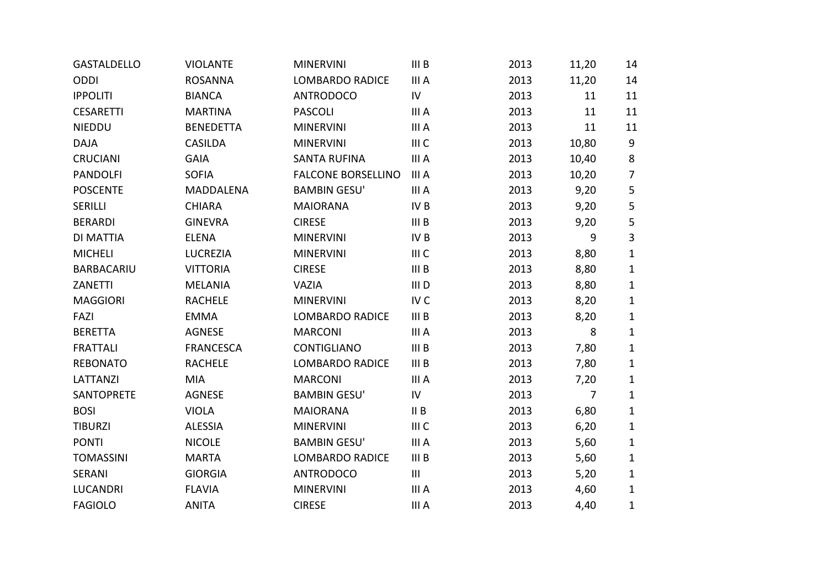| <b>GASTALDELLO</b> | <b>VIOLANTE</b>  | <b>MINERVINI</b>          | III B            | 2013 | 11,20          | 14             |
|--------------------|------------------|---------------------------|------------------|------|----------------|----------------|
| ODDI               | <b>ROSANNA</b>   | <b>LOMBARDO RADICE</b>    | III A            | 2013 | 11,20          | 14             |
| <b>IPPOLITI</b>    | <b>BIANCA</b>    | <b>ANTRODOCO</b>          | ${\sf IV}$       | 2013 | 11             | 11             |
| <b>CESARETTI</b>   | <b>MARTINA</b>   | <b>PASCOLI</b>            | III A            | 2013 | 11             | 11             |
| <b>NIEDDU</b>      | <b>BENEDETTA</b> | <b>MINERVINI</b>          | III A            | 2013 | 11             | 11             |
| <b>DAJA</b>        | <b>CASILDA</b>   | <b>MINERVINI</b>          | III C            | 2013 | 10,80          | 9              |
| <b>CRUCIANI</b>    | <b>GAIA</b>      | <b>SANTA RUFINA</b>       | III A            | 2013 | 10,40          | 8              |
| <b>PANDOLFI</b>    | <b>SOFIA</b>     | <b>FALCONE BORSELLINO</b> | III A            | 2013 | 10,20          | $\overline{7}$ |
| <b>POSCENTE</b>    | MADDALENA        | <b>BAMBIN GESU'</b>       | III A            | 2013 | 9,20           | 5              |
| <b>SERILLI</b>     | <b>CHIARA</b>    | <b>MAIORANA</b>           | IV <sub>B</sub>  | 2013 | 9,20           | 5              |
| <b>BERARDI</b>     | <b>GINEVRA</b>   | <b>CIRESE</b>             | III B            | 2013 | 9,20           | 5              |
| DI MATTIA          | <b>ELENA</b>     | <b>MINERVINI</b>          | IV <sub>B</sub>  | 2013 | 9              | 3              |
| <b>MICHELI</b>     | <b>LUCREZIA</b>  | <b>MINERVINI</b>          | III C            | 2013 | 8,80           | $\mathbf{1}$   |
| BARBACARIU         | <b>VITTORIA</b>  | <b>CIRESE</b>             | III <sub>B</sub> | 2013 | 8,80           | $\mathbf{1}$   |
| ZANETTI            | <b>MELANIA</b>   | <b>VAZIA</b>              | III D            | 2013 | 8,80           | 1              |
| <b>MAGGIORI</b>    | <b>RACHELE</b>   | <b>MINERVINI</b>          | IV <sub>C</sub>  | 2013 | 8,20           | 1              |
| FAZI               | <b>EMMA</b>      | <b>LOMBARDO RADICE</b>    | III B            | 2013 | 8,20           | 1              |
| <b>BERETTA</b>     | <b>AGNESE</b>    | <b>MARCONI</b>            | III A            | 2013 | 8              | 1              |
| <b>FRATTALI</b>    | <b>FRANCESCA</b> | CONTIGLIANO               | III B            | 2013 | 7,80           | $\mathbf{1}$   |
| <b>REBONATO</b>    | <b>RACHELE</b>   | <b>LOMBARDO RADICE</b>    | III <sub>B</sub> | 2013 | 7,80           | 1              |
| LATTANZI           | <b>MIA</b>       | <b>MARCONI</b>            | III A            | 2013 | 7,20           | 1              |
| <b>SANTOPRETE</b>  | <b>AGNESE</b>    | <b>BAMBIN GESU'</b>       | IV               | 2013 | $\overline{7}$ | 1              |
| <b>BOSI</b>        | <b>VIOLA</b>     | <b>MAIORANA</b>           | II B             | 2013 | 6,80           | 1              |
| <b>TIBURZI</b>     | <b>ALESSIA</b>   | <b>MINERVINI</b>          | III C            | 2013 | 6,20           | $\mathbf{1}$   |
| <b>PONTI</b>       | <b>NICOLE</b>    | <b>BAMBIN GESU'</b>       | III A            | 2013 | 5,60           | 1              |
| <b>TOMASSINI</b>   | <b>MARTA</b>     | <b>LOMBARDO RADICE</b>    | III <sub>B</sub> | 2013 | 5,60           | 1              |
| <b>SERANI</b>      | <b>GIORGIA</b>   | <b>ANTRODOCO</b>          | $\mathbf{III}$   | 2013 | 5,20           | 1              |
| <b>LUCANDRI</b>    | <b>FLAVIA</b>    | <b>MINERVINI</b>          | III A            | 2013 | 4,60           | 1              |
| <b>FAGIOLO</b>     | <b>ANITA</b>     | <b>CIRESE</b>             | III A            | 2013 | 4,40           | 1              |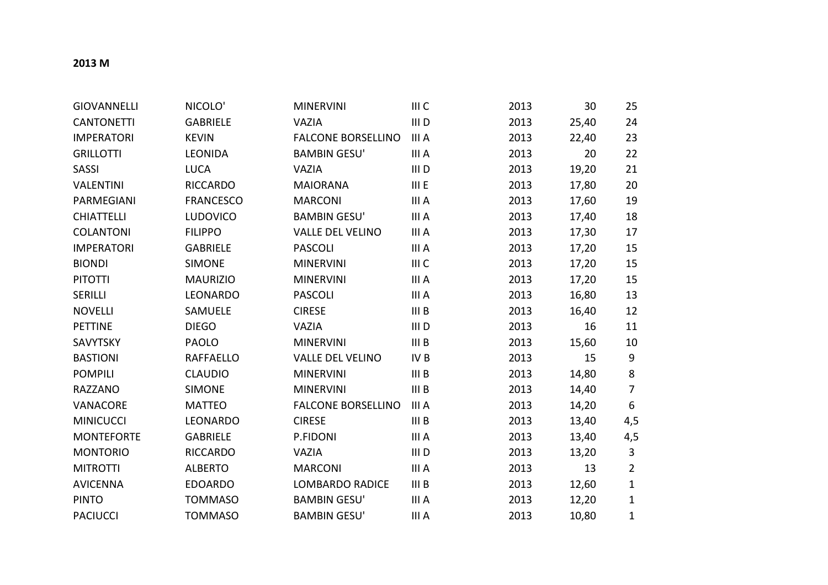## **2013 M**

| <b>GIOVANNELLI</b> | NICOLO'          | <b>MINERVINI</b>          | III C            | 2013 | 30    | 25             |
|--------------------|------------------|---------------------------|------------------|------|-------|----------------|
| <b>CANTONETTI</b>  | <b>GABRIELE</b>  | <b>VAZIA</b>              | III D            | 2013 | 25,40 | 24             |
| <b>IMPERATORI</b>  | <b>KEVIN</b>     | <b>FALCONE BORSELLINO</b> | III A            | 2013 | 22,40 | 23             |
| <b>GRILLOTTI</b>   | <b>LEONIDA</b>   | <b>BAMBIN GESU'</b>       | III A            | 2013 | 20    | 22             |
| <b>SASSI</b>       | <b>LUCA</b>      | <b>VAZIA</b>              | III D            | 2013 | 19,20 | 21             |
| <b>VALENTINI</b>   | <b>RICCARDO</b>  | <b>MAIORANA</b>           | IIIE             | 2013 | 17,80 | 20             |
| PARMEGIANI         | <b>FRANCESCO</b> | <b>MARCONI</b>            | III A            | 2013 | 17,60 | 19             |
| <b>CHIATTELLI</b>  | LUDOVICO         | <b>BAMBIN GESU'</b>       | III A            | 2013 | 17,40 | 18             |
| <b>COLANTONI</b>   | <b>FILIPPO</b>   | <b>VALLE DEL VELINO</b>   | III A            | 2013 | 17,30 | 17             |
| <b>IMPERATORI</b>  | <b>GABRIELE</b>  | <b>PASCOLI</b>            | III A            | 2013 | 17,20 | 15             |
| <b>BIONDI</b>      | <b>SIMONE</b>    | <b>MINERVINI</b>          | III C            | 2013 | 17,20 | 15             |
| <b>PITOTTI</b>     | <b>MAURIZIO</b>  | <b>MINERVINI</b>          | III A            | 2013 | 17,20 | 15             |
| <b>SERILLI</b>     | LEONARDO         | <b>PASCOLI</b>            | III A            | 2013 | 16,80 | 13             |
| <b>NOVELLI</b>     | SAMUELE          | <b>CIRESE</b>             | III B            | 2013 | 16,40 | 12             |
| <b>PETTINE</b>     | <b>DIEGO</b>     | <b>VAZIA</b>              | III <sub>D</sub> | 2013 | 16    | 11             |
| <b>SAVYTSKY</b>    | <b>PAOLO</b>     | <b>MINERVINI</b>          | III <sub>B</sub> | 2013 | 15,60 | 10             |
| <b>BASTIONI</b>    | <b>RAFFAELLO</b> | <b>VALLE DEL VELINO</b>   | IV <sub>B</sub>  | 2013 | 15    | 9              |
| <b>POMPILI</b>     | <b>CLAUDIO</b>   | <b>MINERVINI</b>          | III <sub>B</sub> | 2013 | 14,80 | 8              |
| <b>RAZZANO</b>     | <b>SIMONE</b>    | <b>MINERVINI</b>          | III <sub>B</sub> | 2013 | 14,40 | $\overline{7}$ |
| VANACORE           | <b>MATTEO</b>    | <b>FALCONE BORSELLINO</b> | III A            | 2013 | 14,20 | 6              |
| <b>MINICUCCI</b>   | LEONARDO         | <b>CIRESE</b>             | III B            | 2013 | 13,40 | 4,5            |
| <b>MONTEFORTE</b>  | <b>GABRIELE</b>  | P.FIDONI                  | III A            | 2013 | 13,40 | 4,5            |
| <b>MONTORIO</b>    | <b>RICCARDO</b>  | <b>VAZIA</b>              | III D            | 2013 | 13,20 | 3              |
| <b>MITROTTI</b>    | <b>ALBERTO</b>   | <b>MARCONI</b>            | III A            | 2013 | 13    | $\overline{2}$ |
| <b>AVICENNA</b>    | <b>EDOARDO</b>   | <b>LOMBARDO RADICE</b>    | III <sub>B</sub> | 2013 | 12,60 | $\mathbf{1}$   |
| <b>PINTO</b>       | <b>TOMMASO</b>   | <b>BAMBIN GESU'</b>       | III A            | 2013 | 12,20 | $\mathbf{1}$   |
| <b>PACIUCCI</b>    | <b>TOMMASO</b>   | <b>BAMBIN GESU'</b>       | III A            | 2013 | 10,80 | 1              |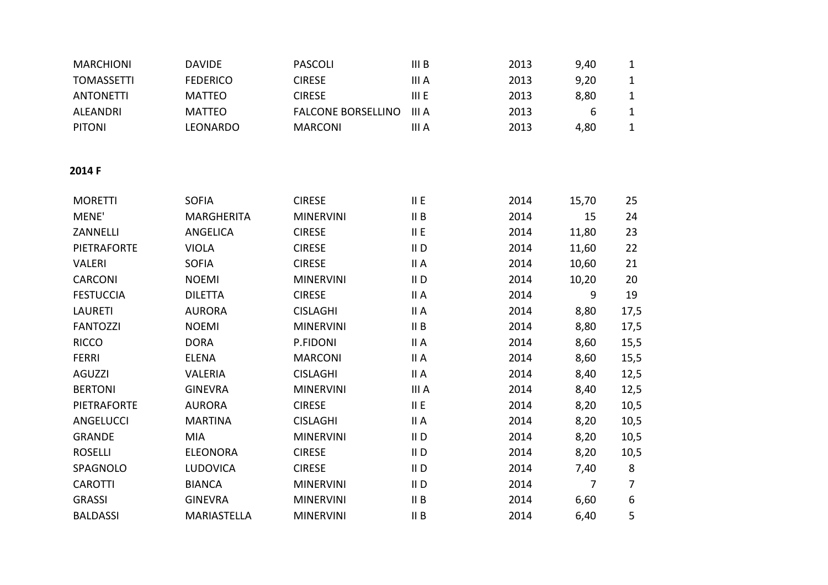| <b>MARCHIONI</b>   | <b>DAVIDE</b>      | <b>PASCOLI</b>            | III B  | 2013 | 9,40            | $\mathbf{1}$   |
|--------------------|--------------------|---------------------------|--------|------|-----------------|----------------|
| <b>TOMASSETTI</b>  | <b>FEDERICO</b>    | <b>CIRESE</b>             | III A  | 2013 | 9,20            | $\mathbf{1}$   |
| <b>ANTONETTI</b>   | <b>MATTEO</b>      | <b>CIRESE</b>             | IIIE   | 2013 | 8,80            | $\mathbf 1$    |
| <b>ALEANDRI</b>    | <b>MATTEO</b>      | <b>FALCONE BORSELLINO</b> | III A  | 2013 | $6\phantom{1}6$ | $\mathbf{1}$   |
| <b>PITONI</b>      | LEONARDO           | <b>MARCONI</b>            | III A  | 2013 | 4,80            | $\mathbf{1}$   |
|                    |                    |                           |        |      |                 |                |
| 2014 F             |                    |                           |        |      |                 |                |
|                    |                    |                           |        |      |                 |                |
| <b>MORETTI</b>     | <b>SOFIA</b>       | <b>CIRESE</b>             | II E   | 2014 | 15,70           | 25             |
| MENE'              | <b>MARGHERITA</b>  | <b>MINERVINI</b>          | II B   | 2014 | 15              | 24             |
| ZANNELLI           | ANGELICA           | <b>CIRESE</b>             | II E   | 2014 | 11,80           | 23             |
| <b>PIETRAFORTE</b> | <b>VIOLA</b>       | <b>CIRESE</b>             | $II$ D | 2014 | 11,60           | 22             |
| <b>VALERI</b>      | <b>SOFIA</b>       | <b>CIRESE</b>             | II A   | 2014 | 10,60           | 21             |
| CARCONI            | <b>NOEMI</b>       | <b>MINERVINI</b>          | II D   | 2014 | 10,20           | 20             |
| <b>FESTUCCIA</b>   | <b>DILETTA</b>     | <b>CIRESE</b>             | II A   | 2014 | 9               | 19             |
| <b>LAURETI</b>     | <b>AURORA</b>      | <b>CISLAGHI</b>           | II A   | 2014 | 8,80            | 17,5           |
| <b>FANTOZZI</b>    | <b>NOEMI</b>       | <b>MINERVINI</b>          | II B   | 2014 | 8,80            | 17,5           |
| <b>RICCO</b>       | <b>DORA</b>        | P.FIDONI                  | II A   | 2014 | 8,60            | 15,5           |
| <b>FERRI</b>       | <b>ELENA</b>       | <b>MARCONI</b>            | II A   | 2014 | 8,60            | 15,5           |
| <b>AGUZZI</b>      | <b>VALERIA</b>     | <b>CISLAGHI</b>           | II A   | 2014 | 8,40            | 12,5           |
| <b>BERTONI</b>     | <b>GINEVRA</b>     | <b>MINERVINI</b>          | III A  | 2014 | 8,40            | 12,5           |
| <b>PIETRAFORTE</b> | <b>AURORA</b>      | <b>CIRESE</b>             | II E   | 2014 | 8,20            | 10,5           |
| ANGELUCCI          | <b>MARTINA</b>     | <b>CISLAGHI</b>           | II A   | 2014 | 8,20            | 10,5           |
| <b>GRANDE</b>      | <b>MIA</b>         | <b>MINERVINI</b>          | $II$ D | 2014 | 8,20            | 10,5           |
| <b>ROSELLI</b>     | <b>ELEONORA</b>    | <b>CIRESE</b>             | $II$ D | 2014 | 8,20            | 10,5           |
| SPAGNOLO           | <b>LUDOVICA</b>    | <b>CIRESE</b>             | $II$ D | 2014 | 7,40            | 8              |
| <b>CAROTTI</b>     | <b>BIANCA</b>      | <b>MINERVINI</b>          | $II$ D | 2014 | $\overline{7}$  | $\overline{7}$ |
| <b>GRASSI</b>      | <b>GINEVRA</b>     | <b>MINERVINI</b>          | II B   | 2014 | 6,60            | 6              |
| <b>BALDASSI</b>    | <b>MARIASTELLA</b> | <b>MINERVINI</b>          | II B   | 2014 | 6,40            | 5              |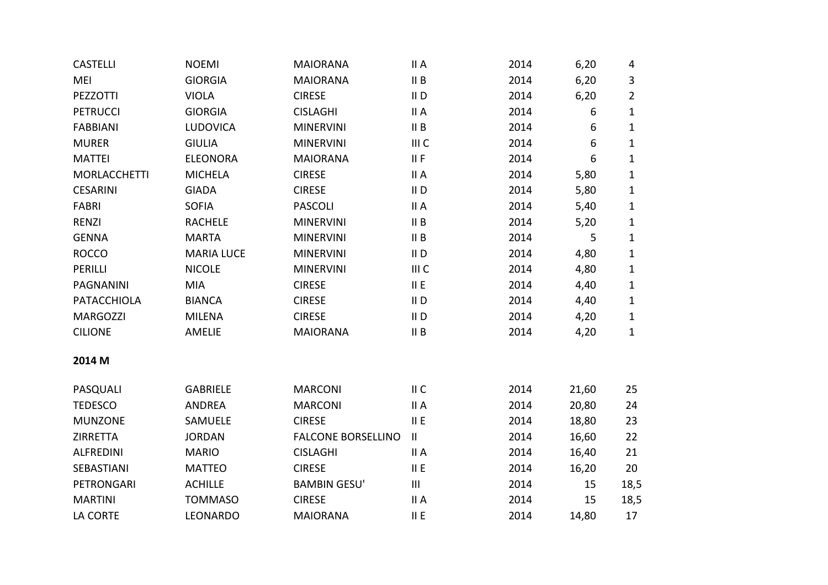| <b>CASTELLI</b>     | <b>NOEMI</b>      | <b>MAIORANA</b>           | II A            | 2014 | 6,20  | 4              |
|---------------------|-------------------|---------------------------|-----------------|------|-------|----------------|
| <b>MEI</b>          | <b>GIORGIA</b>    | <b>MAIORANA</b>           | II B            | 2014 | 6,20  | 3              |
| PEZZOTTI            | <b>VIOLA</b>      | <b>CIRESE</b>             | II <sub>D</sub> | 2014 | 6,20  | $\overline{2}$ |
| <b>PETRUCCI</b>     | <b>GIORGIA</b>    | <b>CISLAGHI</b>           | II A            | 2014 | 6     | $\mathbf{1}$   |
| <b>FABBIANI</b>     | <b>LUDOVICA</b>   | <b>MINERVINI</b>          | II B            | 2014 | 6     | $\mathbf{1}$   |
| <b>MURER</b>        | <b>GIULIA</b>     | <b>MINERVINI</b>          | III C           | 2014 | 6     | $\mathbf{1}$   |
| <b>MATTEI</b>       | <b>ELEONORA</b>   | <b>MAIORANA</b>           | II F            | 2014 | 6     | 1              |
| <b>MORLACCHETTI</b> | <b>MICHELA</b>    | <b>CIRESE</b>             | II A            | 2014 | 5,80  | $\mathbf{1}$   |
| <b>CESARINI</b>     | <b>GIADA</b>      | <b>CIRESE</b>             | II <sub>D</sub> | 2014 | 5,80  | $\mathbf{1}$   |
| <b>FABRI</b>        | <b>SOFIA</b>      | <b>PASCOLI</b>            | II A            | 2014 | 5,40  | $\mathbf{1}$   |
| <b>RENZI</b>        | <b>RACHELE</b>    | <b>MINERVINI</b>          | II B            | 2014 | 5,20  | 1              |
| <b>GENNA</b>        | <b>MARTA</b>      | <b>MINERVINI</b>          | II B            | 2014 | 5     | 1              |
| <b>ROCCO</b>        | <b>MARIA LUCE</b> | <b>MINERVINI</b>          | $II$ D          | 2014 | 4,80  | 1              |
| PERILLI             | <b>NICOLE</b>     | <b>MINERVINI</b>          | III C           | 2014 | 4,80  | 1              |
| <b>PAGNANINI</b>    | <b>MIA</b>        | <b>CIRESE</b>             | II E            | 2014 | 4,40  | $\mathbf{1}$   |
| <b>PATACCHIOLA</b>  | <b>BIANCA</b>     | <b>CIRESE</b>             | $II$ D          | 2014 | 4,40  | 1              |
| <b>MARGOZZI</b>     | <b>MILENA</b>     | <b>CIRESE</b>             | $II$ D          | 2014 | 4,20  | $\mathbf{1}$   |
| <b>CILIONE</b>      | <b>AMELIE</b>     | <b>MAIORANA</b>           | II B            | 2014 | 4,20  | 1              |
| 2014 M              |                   |                           |                 |      |       |                |
| PASQUALI            | <b>GABRIELE</b>   | <b>MARCONI</b>            | II C            | 2014 | 21,60 | 25             |
| <b>TEDESCO</b>      | <b>ANDREA</b>     | <b>MARCONI</b>            | II A            | 2014 | 20,80 | 24             |
| <b>MUNZONE</b>      | SAMUELE           | <b>CIRESE</b>             | II E            | 2014 | 18,80 | 23             |
| ZIRRETTA            | <b>JORDAN</b>     | <b>FALCONE BORSELLINO</b> | $\mathbf{II}$   | 2014 | 16,60 | 22             |
| <b>ALFREDINI</b>    | <b>MARIO</b>      | <b>CISLAGHI</b>           | II A            | 2014 | 16,40 | 21             |
| SEBASTIANI          | <b>MATTEO</b>     | <b>CIRESE</b>             | II E            | 2014 | 16,20 | 20             |
| PETRONGARI          | <b>ACHILLE</b>    | <b>BAMBIN GESU'</b>       | $\mathbf{III}$  | 2014 | 15    | 18,5           |
| <b>MARTINI</b>      | <b>TOMMASO</b>    | <b>CIRESE</b>             | II A            | 2014 | 15    | 18,5           |
| LA CORTE            | <b>LEONARDO</b>   | <b>MAIORANA</b>           | II E            | 2014 | 14,80 | 17             |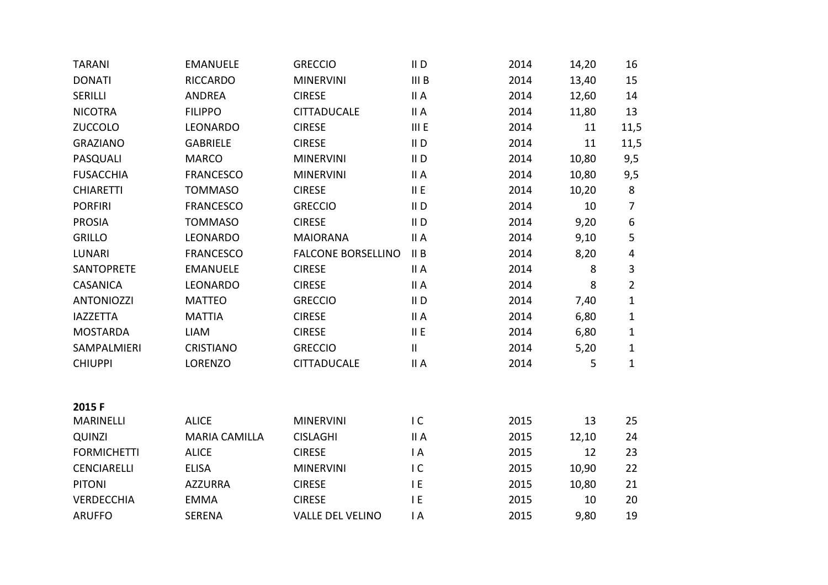| <b>TARANI</b>      | <b>EMANUELE</b>      | <b>GRECCIO</b>            | II <sub>D</sub>  | 2014 | 14,20 | 16             |
|--------------------|----------------------|---------------------------|------------------|------|-------|----------------|
| <b>DONATI</b>      | <b>RICCARDO</b>      | <b>MINERVINI</b>          | III <sub>B</sub> | 2014 | 13,40 | 15             |
| SERILLI            | <b>ANDREA</b>        | <b>CIRESE</b>             | II A             | 2014 | 12,60 | 14             |
| <b>NICOTRA</b>     | <b>FILIPPO</b>       | <b>CITTADUCALE</b>        | II A             | 2014 | 11,80 | 13             |
| <b>ZUCCOLO</b>     | LEONARDO             | <b>CIRESE</b>             | IIIE             | 2014 | 11    | 11,5           |
| <b>GRAZIANO</b>    | <b>GABRIELE</b>      | <b>CIRESE</b>             | $II$ D           | 2014 | 11    | 11,5           |
| PASQUALI           | <b>MARCO</b>         | <b>MINERVINI</b>          | $II$ D           | 2014 | 10,80 | 9,5            |
| <b>FUSACCHIA</b>   | <b>FRANCESCO</b>     | <b>MINERVINI</b>          | II A             | 2014 | 10,80 | 9,5            |
| <b>CHIARETTI</b>   | <b>TOMMASO</b>       | <b>CIRESE</b>             | II E             | 2014 | 10,20 | 8              |
| <b>PORFIRI</b>     | <b>FRANCESCO</b>     | <b>GRECCIO</b>            | $II$ D           | 2014 | 10    | $\overline{7}$ |
| <b>PROSIA</b>      | <b>TOMMASO</b>       | <b>CIRESE</b>             | $II$ D           | 2014 | 9,20  | 6              |
| <b>GRILLO</b>      | LEONARDO             | <b>MAIORANA</b>           | II A             | 2014 | 9,10  | 5              |
| <b>LUNARI</b>      | <b>FRANCESCO</b>     | <b>FALCONE BORSELLINO</b> | II B             | 2014 | 8,20  | 4              |
| SANTOPRETE         | <b>EMANUELE</b>      | <b>CIRESE</b>             | II A             | 2014 | 8     | 3              |
| <b>CASANICA</b>    | LEONARDO             | <b>CIRESE</b>             | II A             | 2014 | 8     | $\overline{2}$ |
| <b>ANTONIOZZI</b>  | <b>MATTEO</b>        | <b>GRECCIO</b>            | $II$ D           | 2014 | 7,40  | $\mathbf 1$    |
| <b>IAZZETTA</b>    | <b>MATTIA</b>        | <b>CIRESE</b>             | II A             | 2014 | 6,80  | $\mathbf 1$    |
| <b>MOSTARDA</b>    | <b>LIAM</b>          | <b>CIRESE</b>             | II E             | 2014 | 6,80  | $\mathbf{1}$   |
| SAMPALMIERI        | <b>CRISTIANO</b>     | <b>GRECCIO</b>            | $\mathbf{  }$    | 2014 | 5,20  | $\mathbf{1}$   |
| <b>CHIUPPI</b>     | <b>LORENZO</b>       | CITTADUCALE               | II A             | 2014 | 5     | $\mathbf{1}$   |
|                    |                      |                           |                  |      |       |                |
| 2015 F             |                      |                           |                  |      |       |                |
| <b>MARINELLI</b>   | <b>ALICE</b>         | <b>MINERVINI</b>          | IC               | 2015 | 13    | 25             |
| <b>QUINZI</b>      | <b>MARIA CAMILLA</b> | <b>CISLAGHI</b>           | II A             | 2015 | 12,10 | 24             |
| <b>FORMICHETTI</b> | <b>ALICE</b>         | <b>CIRESE</b>             | $\mathsf{I}$ A   | 2015 | 12    | 23             |
| <b>CENCIARELLI</b> | <b>ELISA</b>         | <b>MINERVINI</b>          | IC               | 2015 | 10,90 | 22             |
| <b>PITONI</b>      | <b>AZZURRA</b>       | <b>CIRESE</b>             | E                | 2015 | 10,80 | 21             |
| <b>VERDECCHIA</b>  | <b>EMMA</b>          | <b>CIRESE</b>             | E                | 2015 | 10    | 20             |
| <b>ARUFFO</b>      | <b>SERENA</b>        | <b>VALLE DEL VELINO</b>   | $\mathsf{I}$ A   | 2015 | 9,80  | 19             |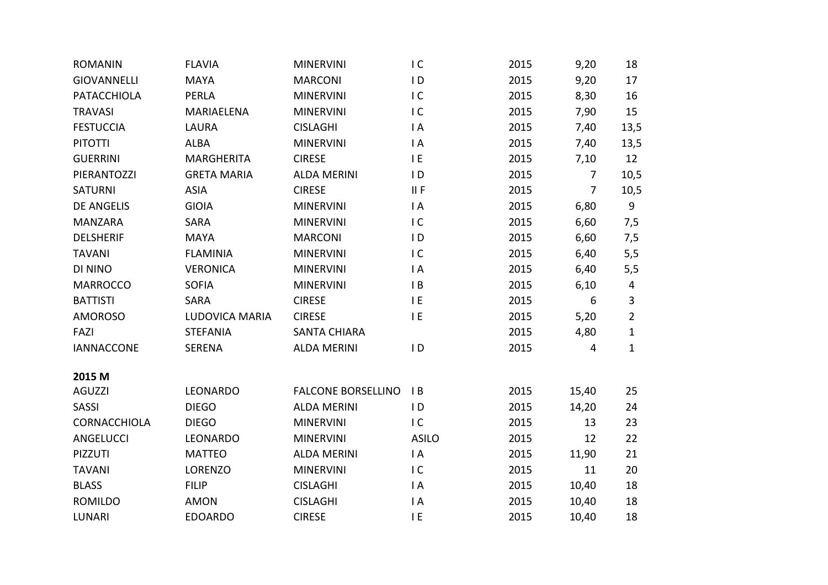| <b>ROMANIN</b>     | <b>FLAVIA</b>      | <b>MINERVINI</b>          | IC             | 2015 | 9,20           | 18             |
|--------------------|--------------------|---------------------------|----------------|------|----------------|----------------|
| <b>GIOVANNELLI</b> | <b>MAYA</b>        | <b>MARCONI</b>            | $\overline{D}$ | 2015 | 9,20           | 17             |
| PATACCHIOLA        | <b>PERLA</b>       | <b>MINERVINI</b>          | IC             | 2015 | 8,30           | 16             |
| <b>TRAVASI</b>     | <b>MARIAELENA</b>  | <b>MINERVINI</b>          | IC             | 2015 | 7,90           | 15             |
| <b>FESTUCCIA</b>   | <b>LAURA</b>       | <b>CISLAGHI</b>           | $\mathsf{I}$ A | 2015 | 7,40           | 13,5           |
| <b>PITOTTI</b>     | <b>ALBA</b>        | <b>MINERVINI</b>          | $\mathsf{I}$ A | 2015 | 7,40           | 13,5           |
| <b>GUERRINI</b>    | <b>MARGHERITA</b>  | <b>CIRESE</b>             | E              | 2015 | 7,10           | 12             |
| PIERANTOZZI        | <b>GRETA MARIA</b> | <b>ALDA MERINI</b>        | $\overline{D}$ | 2015 | $\overline{7}$ | 10,5           |
| <b>SATURNI</b>     | <b>ASIA</b>        | <b>CIRESE</b>             | $II$ F         | 2015 | 7              | 10,5           |
| <b>DE ANGELIS</b>  | <b>GIOIA</b>       | <b>MINERVINI</b>          | $\mathsf{I}$ A | 2015 | 6,80           | 9              |
| <b>MANZARA</b>     | <b>SARA</b>        | <b>MINERVINI</b>          | IC             | 2015 | 6,60           | 7,5            |
| <b>DELSHERIF</b>   | <b>MAYA</b>        | <b>MARCONI</b>            | $\overline{D}$ | 2015 | 6,60           | 7,5            |
| <b>TAVANI</b>      | <b>FLAMINIA</b>    | <b>MINERVINI</b>          | IC             | 2015 | 6,40           | 5,5            |
| DI NINO            | <b>VERONICA</b>    | <b>MINERVINI</b>          | $\mathsf{I}$ A | 2015 | 6,40           | 5,5            |
| <b>MARROCCO</b>    | <b>SOFIA</b>       | <b>MINERVINI</b>          | B              | 2015 | 6,10           | 4              |
| <b>BATTISTI</b>    | <b>SARA</b>        | <b>CIRESE</b>             | 1E             | 2015 | 6              | $\overline{3}$ |
| <b>AMOROSO</b>     | LUDOVICA MARIA     | <b>CIRESE</b>             | E              | 2015 | 5,20           | $\overline{2}$ |
| FAZI               | <b>STEFANIA</b>    | <b>SANTA CHIARA</b>       |                | 2015 | 4,80           | $\mathbf{1}$   |
| <b>IANNACCONE</b>  | <b>SERENA</b>      | <b>ALDA MERINI</b>        | $\overline{D}$ | 2015 | 4              | $\mathbf{1}$   |
| 2015 M             |                    |                           |                |      |                |                |
| <b>AGUZZI</b>      | LEONARDO           | <b>FALCONE BORSELLINO</b> | B              | 2015 | 15,40          | 25             |
| <b>SASSI</b>       | <b>DIEGO</b>       | <b>ALDA MERINI</b>        | $\overline{D}$ | 2015 | 14,20          | 24             |
| CORNACCHIOLA       | <b>DIEGO</b>       | <b>MINERVINI</b>          | IC             | 2015 | 13             | 23             |
| <b>ANGELUCCI</b>   | LEONARDO           | <b>MINERVINI</b>          | <b>ASILO</b>   | 2015 | 12             | 22             |
| PIZZUTI            | <b>MATTEO</b>      | <b>ALDA MERINI</b>        | $\mathsf{I}$ A | 2015 | 11,90          | 21             |
| <b>TAVANI</b>      | <b>LORENZO</b>     | <b>MINERVINI</b>          | IC             | 2015 | 11             | 20             |
| <b>BLASS</b>       | <b>FILIP</b>       | <b>CISLAGHI</b>           | $\mathsf{I}$ A | 2015 | 10,40          | 18             |
| <b>ROMILDO</b>     | <b>AMON</b>        | <b>CISLAGHI</b>           | $\mathsf{I}$ A | 2015 | 10,40          | 18             |
| <b>LUNARI</b>      | <b>EDOARDO</b>     | <b>CIRESE</b>             | IE             | 2015 | 10,40          | 18             |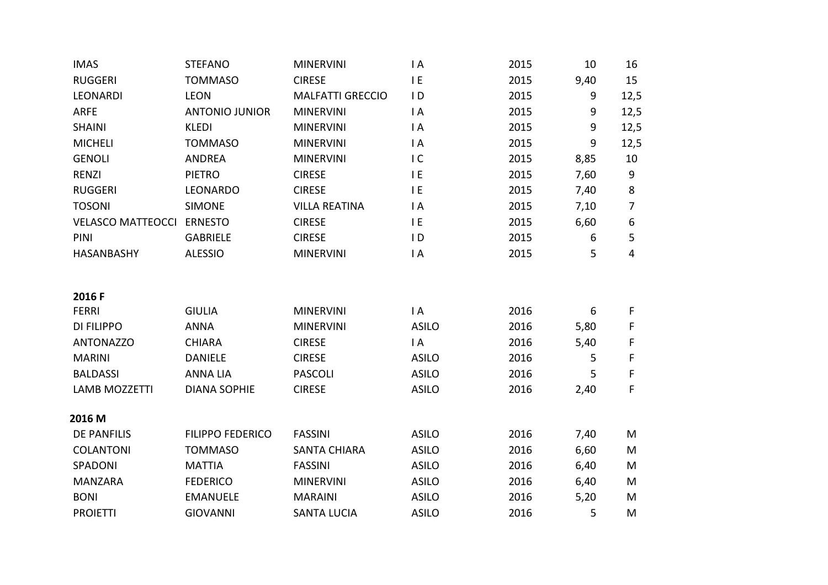| <b>IMAS</b>              | <b>STEFANO</b>          | <b>MINERVINI</b>        | $\mathsf{I}$ A | 2015 | 10   | 16   |
|--------------------------|-------------------------|-------------------------|----------------|------|------|------|
| <b>RUGGERI</b>           | <b>TOMMASO</b>          | <b>CIRESE</b>           | E              | 2015 | 9,40 | 15   |
| <b>LEONARDI</b>          | <b>LEON</b>             | <b>MALFATTI GRECCIO</b> | $\overline{D}$ | 2015 | 9    | 12,5 |
| <b>ARFE</b>              | <b>ANTONIO JUNIOR</b>   | <b>MINERVINI</b>        | $\mathsf{I}$ A | 2015 | 9    | 12,5 |
| <b>SHAINI</b>            | <b>KLEDI</b>            | <b>MINERVINI</b>        | $\mathsf{I}$ A | 2015 | 9    | 12,5 |
| <b>MICHELI</b>           | <b>TOMMASO</b>          | <b>MINERVINI</b>        | $\mathsf{I}$ A | 2015 | 9    | 12,5 |
| <b>GENOLI</b>            | <b>ANDREA</b>           | <b>MINERVINI</b>        | IC             | 2015 | 8,85 | 10   |
| <b>RENZI</b>             | <b>PIETRO</b>           | <b>CIRESE</b>           | E              | 2015 | 7,60 | 9    |
| <b>RUGGERI</b>           | LEONARDO                | <b>CIRESE</b>           | IE             | 2015 | 7,40 | 8    |
| <b>TOSONI</b>            | <b>SIMONE</b>           | <b>VILLA REATINA</b>    | $\mathsf{I}$ A | 2015 | 7,10 | 7    |
| <b>VELASCO MATTEOCCI</b> | <b>ERNESTO</b>          | <b>CIRESE</b>           | E              | 2015 | 6,60 | 6    |
| PINI                     | <b>GABRIELE</b>         | <b>CIRESE</b>           | $\overline{D}$ | 2015 | 6    | 5    |
| HASANBASHY               | <b>ALESSIO</b>          | <b>MINERVINI</b>        | $\mathsf{I}$ A | 2015 | 5    | 4    |
|                          |                         |                         |                |      |      |      |
| 2016 F                   |                         |                         |                |      |      |      |
| <b>FERRI</b>             | <b>GIULIA</b>           | <b>MINERVINI</b>        | $\mathsf{I}$ A | 2016 | 6    | F    |
| <b>DI FILIPPO</b>        | <b>ANNA</b>             | <b>MINERVINI</b>        | <b>ASILO</b>   | 2016 | 5,80 | F    |
| <b>ANTONAZZO</b>         | <b>CHIARA</b>           | <b>CIRESE</b>           | $\mathsf{I}$ A | 2016 | 5,40 | F    |
| <b>MARINI</b>            | <b>DANIELE</b>          | <b>CIRESE</b>           | <b>ASILO</b>   | 2016 | 5    | F    |
| <b>BALDASSI</b>          | <b>ANNA LIA</b>         | <b>PASCOLI</b>          | <b>ASILO</b>   | 2016 | 5    | F    |
| <b>LAMB MOZZETTI</b>     | <b>DIANA SOPHIE</b>     | <b>CIRESE</b>           | <b>ASILO</b>   | 2016 | 2,40 | F    |
| 2016 M                   |                         |                         |                |      |      |      |
| <b>DE PANFILIS</b>       | <b>FILIPPO FEDERICO</b> | <b>FASSINI</b>          | <b>ASILO</b>   | 2016 |      |      |
|                          |                         |                         |                |      | 7,40 | M    |
| <b>COLANTONI</b>         | <b>TOMMASO</b>          | <b>SANTA CHIARA</b>     | <b>ASILO</b>   | 2016 | 6,60 | M    |
| SPADONI                  | <b>MATTIA</b>           | <b>FASSINI</b>          | <b>ASILO</b>   | 2016 | 6,40 | M    |
| <b>MANZARA</b>           | <b>FEDERICO</b>         | <b>MINERVINI</b>        | <b>ASILO</b>   | 2016 | 6,40 | M    |
| <b>BONI</b>              | <b>EMANUELE</b>         | <b>MARAINI</b>          | <b>ASILO</b>   | 2016 | 5,20 | M    |
| <b>PROIETTI</b>          | <b>GIOVANNI</b>         | <b>SANTA LUCIA</b>      | <b>ASILO</b>   | 2016 | 5    | M    |